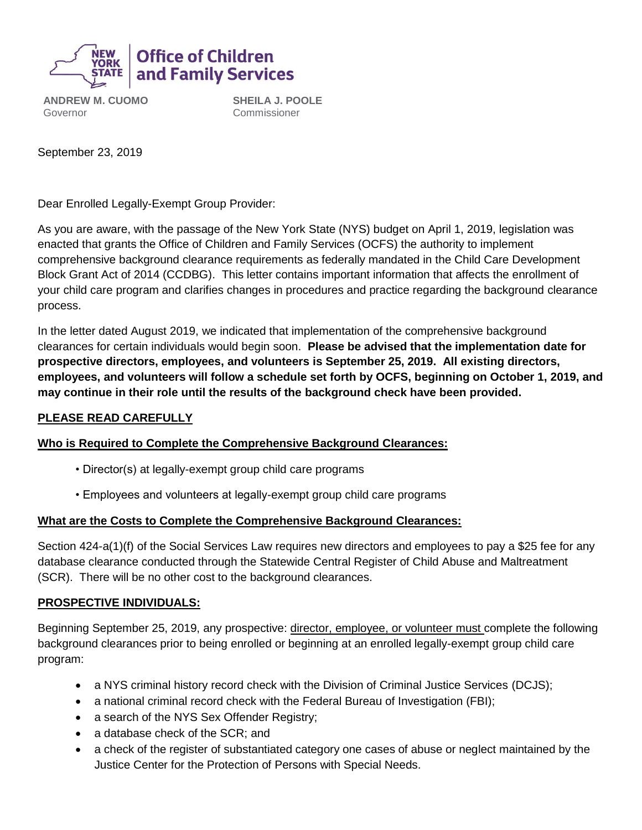

**ANDREW M. CUOMO** Governor

**SHEILA J. POOLE** Commissioner

September 23, 2019

Dear Enrolled Legally-Exempt Group Provider:

As you are aware, with the passage of the New York State (NYS) budget on April 1, 2019, legislation was enacted that grants the Office of Children and Family Services (OCFS) the authority to implement comprehensive background clearance requirements as federally mandated in the Child Care Development Block Grant Act of 2014 (CCDBG). This letter contains important information that affects the enrollment of your child care program and clarifies changes in procedures and practice regarding the background clearance process.

In the letter dated August 2019, we indicated that implementation of the comprehensive background clearances for certain individuals would begin soon. **Please be advised that the implementation date for prospective directors, employees, and volunteers is September 25, 2019. All existing directors, employees, and volunteers will follow a schedule set forth by OCFS, beginning on October 1, 2019, and may continue in their role until the results of the background check have been provided.**

### **PLEASE READ CAREFULLY**

### **Who is Required to Complete the Comprehensive Background Clearances:**

- Director(s) at legally-exempt group child care programs
- Employees and volunteers at legally-exempt group child care programs

### **What are the Costs to Complete the Comprehensive Background Clearances:**

Section 424-a(1)(f) of the Social Services Law requires new directors and employees to pay a \$25 fee for any database clearance conducted through the Statewide Central Register of Child Abuse and Maltreatment (SCR). There will be no other cost to the background clearances.

#### **PROSPECTIVE INDIVIDUALS:**

Beginning September 25, 2019, any prospective: director, employee, or volunteer must complete the following background clearances prior to being enrolled or beginning at an enrolled legally-exempt group child care program:

- a NYS criminal history record check with the Division of Criminal Justice Services (DCJS);
- a national criminal record check with the Federal Bureau of Investigation (FBI);
- a search of the NYS Sex Offender Registry;
- a database check of the SCR; and
- a check of the register of substantiated category one cases of abuse or neglect maintained by the Justice Center for the Protection of Persons with Special Needs.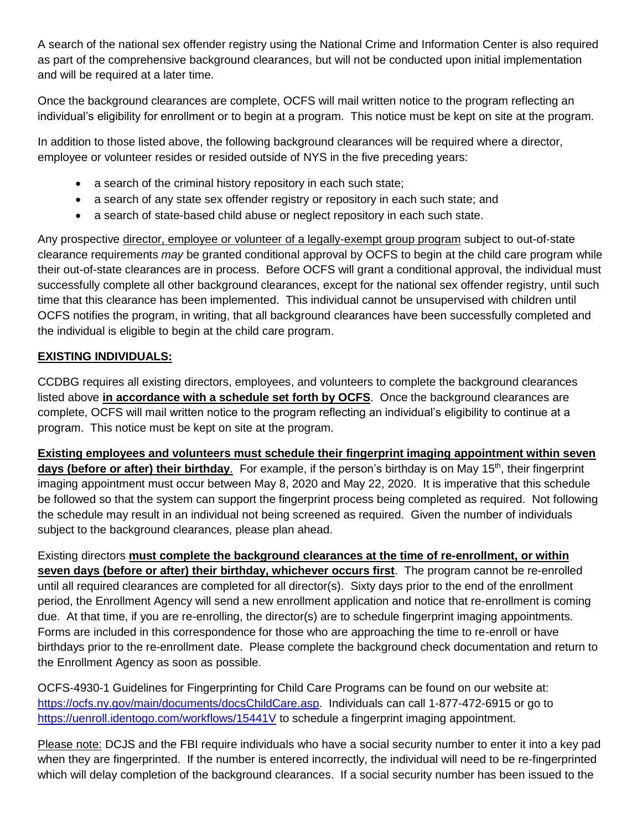A search of the national sex offender registry using the National Crime and Information Center is also required as part of the comprehensive background clearances, but will not be conducted upon initial implementation and will be required at a later time.

Once the background clearances are complete, OCFS will mail written notice to the program reflecting an individual's eligibility for enrollment or to begin at a program. This notice must be kept on site at the program.

In addition to those listed above, the following background clearances will be required where a director, employee or volunteer resides or resided outside of NYS in the five preceding years:

- a search of the criminal history repository in each such state;
- a search of any state sex offender registry or repository in each such state; and
- a search of state-based child abuse or neglect repository in each such state.

Any prospective director, employee or volunteer of a legally-exempt group program subject to out-of-state clearance requirements *may* be granted conditional approval by OCFS to begin at the child care program while their out-of-state clearances are in process. Before OCFS will grant a conditional approval, the individual must successfully complete all other background clearances, except for the national sex offender registry, until such time that this clearance has been implemented. This individual cannot be unsupervised with children until OCFS notifies the program, in writing, that all background clearances have been successfully completed and the individual is eligible to begin at the child care program.

# **EXISTING INDIVIDUALS:**

CCDBG requires all existing directors, employees, and volunteers to complete the background clearances listed above **in accordance with a schedule set forth by OCFS**. Once the background clearances are complete, OCFS will mail written notice to the program reflecting an individual's eligibility to continue at a program. This notice must be kept on site at the program.

**Existing employees and volunteers must schedule their fingerprint imaging appointment within seven days (before or after) their birthday**. For example, if the person's birthday is on May 15<sup>th</sup>, their fingerprint imaging appointment must occur between May 8, 2020 and May 22, 2020. It is imperative that this schedule be followed so that the system can support the fingerprint process being completed as required. Not following the schedule may result in an individual not being screened as required. Given the number of individuals subject to the background clearances, please plan ahead.

Existing directors **must complete the background clearances at the time of re-enrollment, or within seven days (before or after) their birthday, whichever occurs first**. The program cannot be re-enrolled until all required clearances are completed for all director(s). Sixty days prior to the end of the enrollment period, the Enrollment Agency will send a new enrollment application and notice that re-enrollment is coming due. At that time, if you are re-enrolling, the director(s) are to schedule fingerprint imaging appointments. Forms are included in this correspondence for those who are approaching the time to re-enroll or have birthdays prior to the re-enrollment date. Please complete the background check documentation and return to the Enrollment Agency as soon as possible.

OCFS-4930-1 Guidelines for Fingerprinting for Child Care Programs can be found on our website at: [https://ocfs.ny.gov/main/documents/docsChildCare.asp.](https://ocfs.ny.gov/main/documents/docsChildCare.asp) Individuals can call 1-877-472-6915 or go to <https://uenroll.identogo.com/workflows/15441V> to schedule a fingerprint imaging appointment.

Please note: DCJS and the FBI require individuals who have a social security number to enter it into a key pad when they are fingerprinted. If the number is entered incorrectly, the individual will need to be re-fingerprinted which will delay completion of the background clearances. If a social security number has been issued to the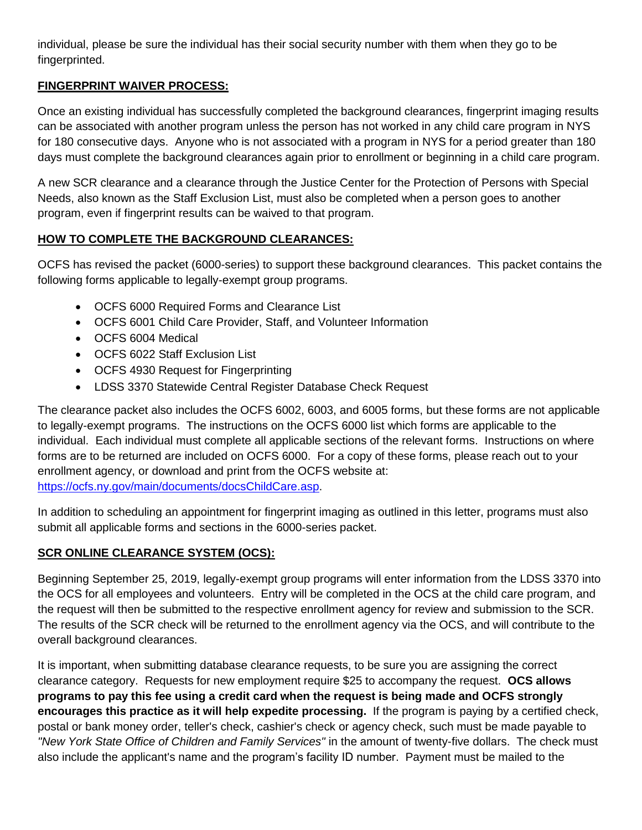individual, please be sure the individual has their social security number with them when they go to be fingerprinted.

### **FINGERPRINT WAIVER PROCESS:**

Once an existing individual has successfully completed the background clearances, fingerprint imaging results can be associated with another program unless the person has not worked in any child care program in NYS for 180 consecutive days. Anyone who is not associated with a program in NYS for a period greater than 180 days must complete the background clearances again prior to enrollment or beginning in a child care program.

A new SCR clearance and a clearance through the Justice Center for the Protection of Persons with Special Needs, also known as the Staff Exclusion List, must also be completed when a person goes to another program, even if fingerprint results can be waived to that program.

## **HOW TO COMPLETE THE BACKGROUND CLEARANCES:**

OCFS has revised the packet (6000-series) to support these background clearances. This packet contains the following forms applicable to legally-exempt group programs.

- OCFS 6000 Required Forms and Clearance List
- OCFS 6001 Child Care Provider, Staff, and Volunteer Information
- OCFS 6004 Medical
- OCFS 6022 Staff Exclusion List
- OCFS 4930 Request for Fingerprinting
- LDSS 3370 Statewide Central Register Database Check Request

The clearance packet also includes the OCFS 6002, 6003, and 6005 forms, but these forms are not applicable to legally-exempt programs. The instructions on the OCFS 6000 list which forms are applicable to the individual. Each individual must complete all applicable sections of the relevant forms. Instructions on where forms are to be returned are included on OCFS 6000. For a copy of these forms, please reach out to your enrollment agency, or download and print from the OCFS website at: [https://ocfs.ny.gov/main/documents/docsChildCare.asp.](https://ocfs.ny.gov/main/documents/docsChildCare.asp)

In addition to scheduling an appointment for fingerprint imaging as outlined in this letter, programs must also submit all applicable forms and sections in the 6000-series packet.

## **SCR ONLINE CLEARANCE SYSTEM (OCS):**

Beginning September 25, 2019, legally-exempt group programs will enter information from the LDSS 3370 into the OCS for all employees and volunteers. Entry will be completed in the OCS at the child care program, and the request will then be submitted to the respective enrollment agency for review and submission to the SCR. The results of the SCR check will be returned to the enrollment agency via the OCS, and will contribute to the overall background clearances.

It is important, when submitting database clearance requests, to be sure you are assigning the correct clearance category. Requests for new employment require \$25 to accompany the request. **OCS allows programs to pay this fee using a credit card when the request is being made and OCFS strongly encourages this practice as it will help expedite processing.** If the program is paying by a certified check, postal or bank money order, teller's check, cashier's check or agency check, such must be made payable to *"New York State Office of Children and Family Services"* in the amount of twenty-five dollars. The check must also include the applicant's name and the program's facility ID number. Payment must be mailed to the